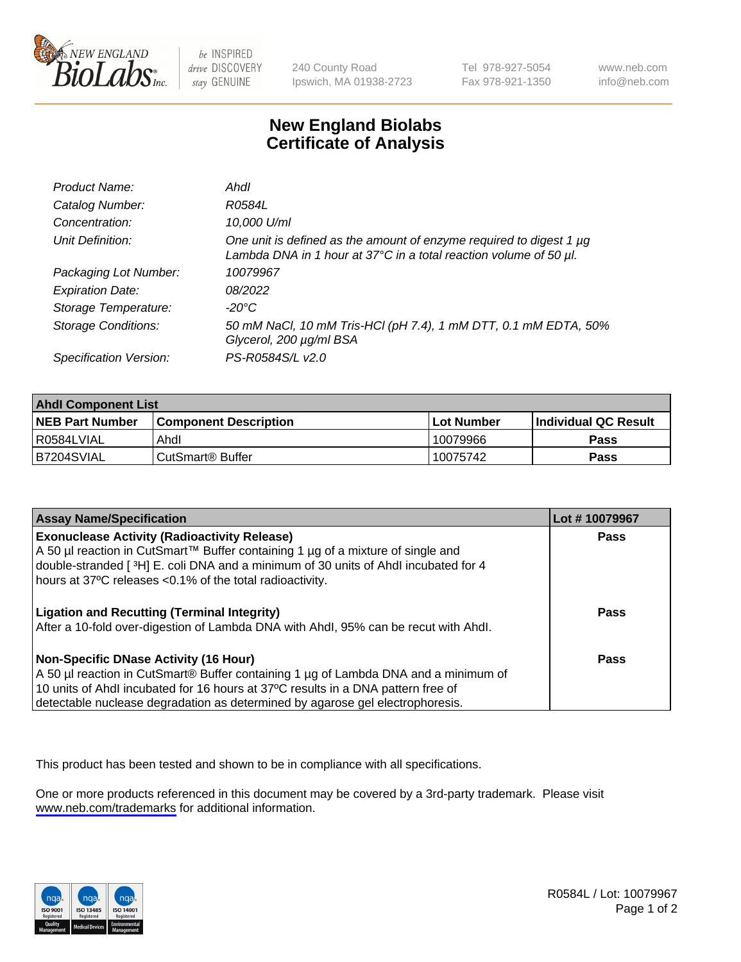

be INSPIRED drive DISCOVERY stay GENUINE

240 County Road Ipswich, MA 01938-2723 Tel 978-927-5054 Fax 978-921-1350

www.neb.com info@neb.com

## **New England Biolabs Certificate of Analysis**

| Product Name:              | Ahdl                                                                                                                                     |
|----------------------------|------------------------------------------------------------------------------------------------------------------------------------------|
| Catalog Number:            | R0584L                                                                                                                                   |
| Concentration:             | 10,000 U/ml                                                                                                                              |
| Unit Definition:           | One unit is defined as the amount of enzyme required to digest 1 µg<br>Lambda DNA in 1 hour at 37°C in a total reaction volume of 50 µl. |
| Packaging Lot Number:      | 10079967                                                                                                                                 |
| <b>Expiration Date:</b>    | 08/2022                                                                                                                                  |
| Storage Temperature:       | -20°C                                                                                                                                    |
| <b>Storage Conditions:</b> | 50 mM NaCl, 10 mM Tris-HCl (pH 7.4), 1 mM DTT, 0.1 mM EDTA, 50%<br>Glycerol, 200 µg/ml BSA                                               |
| Specification Version:     | PS-R0584S/L v2.0                                                                                                                         |

| <b>Ahdl Component List</b> |                              |              |                             |  |
|----------------------------|------------------------------|--------------|-----------------------------|--|
| <b>NEB Part Number</b>     | <b>Component Description</b> | l Lot Number | <b>Individual QC Result</b> |  |
| I R0584LVIAL               | Ahdl                         | 10079966     | Pass                        |  |
| B7204SVIAL                 | l CutSmart® Buffer           | 10075742     | Pass                        |  |

| <b>Assay Name/Specification</b>                                                                                                                                   | Lot #10079967 |
|-------------------------------------------------------------------------------------------------------------------------------------------------------------------|---------------|
| <b>Exonuclease Activity (Radioactivity Release)</b>                                                                                                               | Pass          |
| A 50 µl reaction in CutSmart™ Buffer containing 1 µg of a mixture of single and                                                                                   |               |
| double-stranded [3H] E. coli DNA and a minimum of 30 units of Ahdl incubated for 4<br>hours at 37°C releases <0.1% of the total radioactivity.                    |               |
| <b>Ligation and Recutting (Terminal Integrity)</b>                                                                                                                | Pass          |
| After a 10-fold over-digestion of Lambda DNA with Ahdl, 95% can be recut with Ahdl.                                                                               |               |
| Non-Specific DNase Activity (16 Hour)                                                                                                                             | Pass          |
| A 50 µl reaction in CutSmart® Buffer containing 1 µg of Lambda DNA and a minimum of                                                                               |               |
| 10 units of Ahdl incubated for 16 hours at 37°C results in a DNA pattern free of<br>detectable nuclease degradation as determined by agarose gel electrophoresis. |               |

This product has been tested and shown to be in compliance with all specifications.

One or more products referenced in this document may be covered by a 3rd-party trademark. Please visit <www.neb.com/trademarks>for additional information.